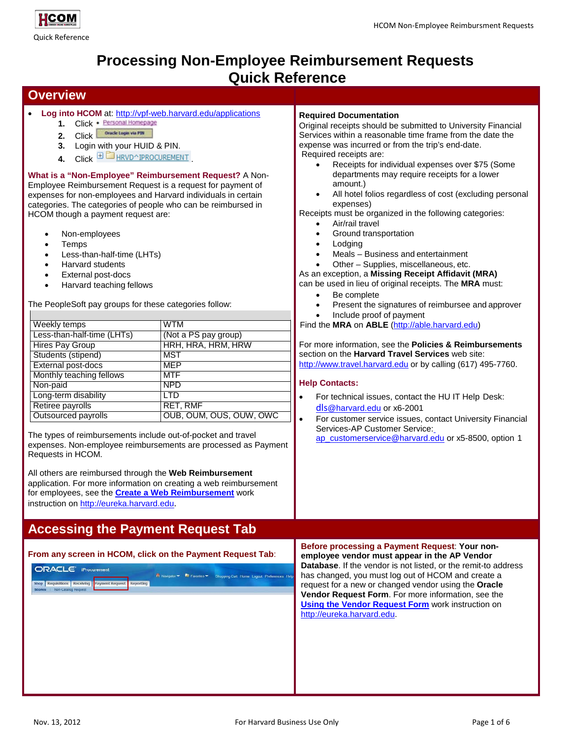

# **Processing Non-Employee Reimbursement Requests Quick Reference**

### **Overview**

- **Log into HCOM** at: <http://vpf-web.harvard.edu/applications>
	- 1. Click · Personal Homepage
	- 2. Click <sup>Oracle</sup> Login via P3N
	- **3.** Login with your HUID & PIN.
	- 4. Click  $\mathbf{\textcolor{blue}{\pm 1}}$  **HRVD**^IPROCUREMENT

**What is a "Non-Employee" Reimbursement Request?** A Non-Employee Reimbursement Request is a request for payment of expenses for non-employees and Harvard individuals in certain categories. The categories of people who can be reimbursed in HCOM though a payment request are:

- Non-employees
- **Temps**
- Less-than-half-time (LHTs)
- Harvard students
- External post-docs
- Harvard teaching fellows

The PeopleSoft pay groups for these categories follow:

| Weekly temps               | <b>WTM</b>              |
|----------------------------|-------------------------|
| Less-than-half-time (LHTs) | (Not a PS pay group)    |
| <b>Hires Pay Group</b>     | HRH, HRA, HRM, HRW      |
| Students (stipend)         | <b>MST</b>              |
| External post-docs         | <b>MEP</b>              |
| Monthly teaching fellows   | <b>MTF</b>              |
| Non-paid                   | <b>NPD</b>              |
| Long-term disability       | LTD                     |
| Retiree payrolls           | <b>RET, RMF</b>         |
| Outsourced payrolls        | OUB, OUM, OUS, OUW, OWC |

The types of reimbursements include out-of-pocket and travel expenses. Non-employee reimbursements are processed as Payment Requests in HCOM.

All others are reimbursed through the **Web Reimbursement**  application. For more information on creating a web reimbursement for employees, see the **[Create a Web Reimbursement](http://eureka.harvard.edu/eureka/getDocument.cfm?id=894&sAppID=6)** work instruction on [http://eureka.harvard.edu](http://eureka.harvard.edu/).

# **Accessing the Payment Request Tab**

| From any screen in HCOM, click on the Payment Request Tab: |
|------------------------------------------------------------|
|------------------------------------------------------------|

ORACLE' iProcuremen **R** Navigator **Pa** Favorites .

#### **Required Documentation**

Original receipts should be submitted to University Financial Services within a reasonable time frame from the date the expense was incurred or from the trip's end-date. Required receipts are:

- Receipts for individual expenses over \$75 (Some departments may require receipts for a lower amount.)
- All hotel folios regardless of cost (excluding personal expenses)

Receipts must be organized in the following categories:

- Air/rail travel
- Ground transportation
- **Lodging**
- Meals Business and entertainment
- Other Supplies, miscellaneous, etc.

As an exception, a **Missing Receipt Affidavit (MRA)**

can be used in lieu of original receipts. The **MRA** must:

- Be complete
- Present the signatures of reimbursee and approver
- Include proof of payment

Find the **MRA** on **ABLE** [\(http://able.harvard.edu\)](http://able.harvard.edu/)

For more information, see the **Policies & Reimbursements**  section on the **Harvard Travel Services** web site: [http://www.travel.harvard.edu](http://www.travel.harvard.edu/) or by calling (617) 495-7760.

#### **Help Contacts:**

- For technical issues, contact the HU IT Help Desk: dls[@harvard.edu](mailto:dls@harvard.edu) or x6-2001
- For customer service issues, contact University Financial Services-AP Customer Service[:](mailto:ap_customerservice@harvard.edu) [ap\\_customerservice@harvard.edu](mailto:ap_customerservice@harvard.edu) or x5-8500, option 1

**Before processing a Payment Request**: **Your nonemployee vendor must appear in the AP Vendor Database**. If the vendor is not listed, or the remit-to address has changed, you must log out of HCOM and create a request for a new or changed vendor using the **Oracle Vendor Request Form**. For more information, see the **[Using the Vendor Request Form](http://eureka.harvard.edu/eureka/getDocument.cfm?id=892&sAppID=6)** work instruction on [http://eureka.harvard.edu.](http://eureka.harvard.edu/)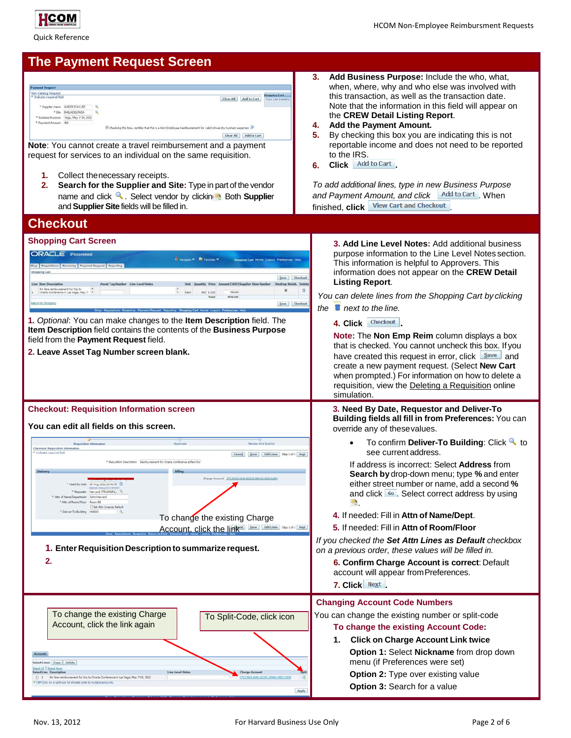

HCOM Non-Employee Reimbursment Requests

Quick Reference

## **The Payment Request Screen Non-Catalog Request** Clear All | Add to Cart | Shapping Cart

|                               | ANDERSON LEE<br>PHILADELPHIA |                                                                                                                      |  |
|-------------------------------|------------------------------|----------------------------------------------------------------------------------------------------------------------|--|
| <sup>*</sup> Business Purpose | Vega, May 7-10, 2012         |                                                                                                                      |  |
| * Payment Amount 450          |                              |                                                                                                                      |  |
|                               |                              | If Checking this box, certifies that this is a Non-Engloyee Reinbursement for valid University business expenses. ID |  |
|                               |                              |                                                                                                                      |  |
|                               |                              | Add to Cart<br>Clear All                                                                                             |  |
|                               |                              | <b>Note:</b> You cannot create a travel reimbursement and a payment                                                  |  |

- **1.** Collect thenecessary receipts.
- **2. Search for the Supplier and Site:** Type in part of the vendor name and click **Q.** Select vendor by clickin **E** Both **Supplie**r and **Supplier Site** fields will be filled in.
- **3. Add Business Purpose:** Include the who, what, when, where, why and who else was involved with this transaction, as well as the transaction date. Note that the information in this field will appear on the **CREW Detail Listing Report**.
- **4. Add the Payment Amount.**
- **5.** By checking this box you are indicating this is not reportable income and does not need to be reported to the IRS.
- **6.** Click Add to Cart

*To add additional lines, type in new Business Purpose*  and Payment Amount, and click **Add to Cart** When finished, **click View Cart and Checkout** 

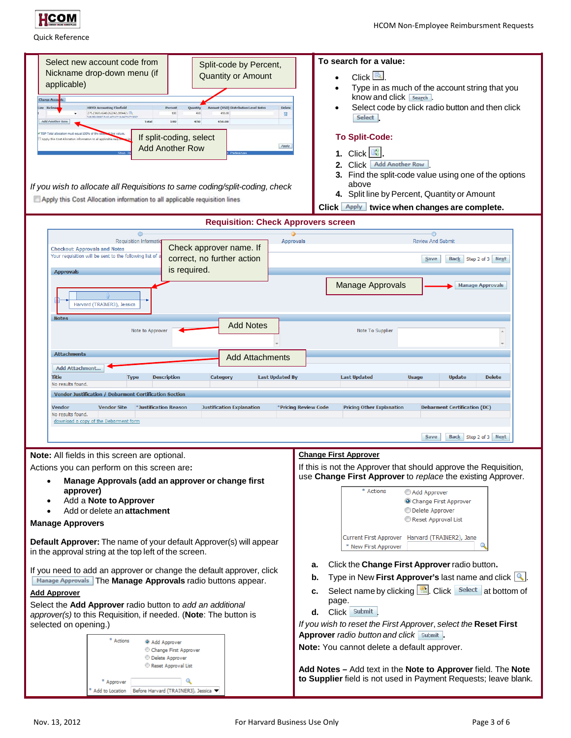

| Select new account code from<br>Split-code by Percent,<br>Nickname drop-down menu (if<br><b>Quantity or Amount</b><br>applicable)<br><b>Charge Accou</b><br>t (USD) Distribution Level Notes<br>Delete<br><b>HRVD Accounting Flexfield</b><br>Percent<br>275.23603.6640.262242.209442.01b<br>100<br>450.00<br>450<br>п<br><b>US ORE ORIGIT FUND ACTIVITY SUBACTIVITY ADD</b><br>Add Another Row<br>Total<br>100<br>450<br>450.00<br>If split-coding, select<br>Apply this Cost Allocation information to all applicable<br>Apply<br><b>Add Another Row</b><br>If you wish to allocate all Requisitions to same coding/split-coding, check<br>Apply this Cost Allocation information to all applicable requisition lines | To search for a value:<br>Click <b>R</b><br>Type in as much of the account string that you<br>know and click search<br>Select code by click radio button and then click<br>Select<br><b>To Split-Code:</b><br>$\mathbb{Z}_2^2$<br>1. Click<br>2. Click Add Another Row<br>3. Find the split-code value using one of the options<br>above<br>4. Split line by Percent, Quantity or Amount<br>Click <b>Apply</b> twice when changes are complete.                                                                                                                                                               |
|-------------------------------------------------------------------------------------------------------------------------------------------------------------------------------------------------------------------------------------------------------------------------------------------------------------------------------------------------------------------------------------------------------------------------------------------------------------------------------------------------------------------------------------------------------------------------------------------------------------------------------------------------------------------------------------------------------------------------|---------------------------------------------------------------------------------------------------------------------------------------------------------------------------------------------------------------------------------------------------------------------------------------------------------------------------------------------------------------------------------------------------------------------------------------------------------------------------------------------------------------------------------------------------------------------------------------------------------------|
| <b>Requisition: Check Approvers screen</b>                                                                                                                                                                                                                                                                                                                                                                                                                                                                                                                                                                                                                                                                              |                                                                                                                                                                                                                                                                                                                                                                                                                                                                                                                                                                                                               |
| Requisition Informatio<br>Check approver name. If<br><b>Checkout: Approvals and Notes</b><br>Your requisition will be sent to the following list of a<br>correct, no further action<br>is required.<br><b>Approvals</b><br>Harvard (TRAINER3), Jessica                                                                                                                                                                                                                                                                                                                                                                                                                                                                  | <b>Review And Submit</b><br><b>Approvals</b><br>Back Step 2 of 3 Next<br>Save<br><b>Manage Approvals</b><br><b>Manage Approvals</b>                                                                                                                                                                                                                                                                                                                                                                                                                                                                           |
| <b>Add Notes</b><br>Note to Approver<br><b>Attachments</b><br><b>Add Attachments</b><br><b>Add Attachment</b><br><b>Title</b><br><b>Description</b><br><b>Last Updated By</b><br><b>Type</b><br>Category<br>No results found.<br>Vendor Justification / Debarment Certification Section<br>Vendor<br>*Justification Reason<br><b>Justification Explanation</b><br><b>Vendor Site</b><br>No results found.<br>download a copy of the Debarment form                                                                                                                                                                                                                                                                      | Note To Supplier<br><b>Delete</b><br><b>Last Updated</b><br><b>Usage</b><br><b>Update</b><br>*Pricing Review Code<br><b>Pricing Other Explanation</b><br><b>Debarment Certification (DC)</b><br>Save<br>Back Step 2 of 3 Next                                                                                                                                                                                                                                                                                                                                                                                 |
| Note: All fields in this screen are optional.<br>Actions you can perform on this screen are:<br>Manage Approvals (add an approver or change first<br>approver)<br>Add a Note to Approver<br>Add or delete an attachment<br>$\bullet$<br><b>Manage Approvers</b>                                                                                                                                                                                                                                                                                                                                                                                                                                                         | <b>Change First Approver</b><br>If this is not the Approver that should approve the Requisition,<br>use Change First Approver to replace the existing Approver.<br>* Actions<br>Add Approver<br>Change First Approver<br>Delete Approver<br>Reset Approval List                                                                                                                                                                                                                                                                                                                                               |
| Default Approver: The name of your default Approver(s) will appear<br>in the approval string at the top left of the screen.<br>If you need to add an approver or change the default approver, click<br>Manage Approvals The Manage Approvals radio buttons appear.<br><b>Add Approver</b><br>Select the Add Approver radio button to add an additional<br>approver(s) to this Requisition, if needed. (Note: The button is<br>selected on opening.)<br>* Actions<br>@ Add Approver<br>Change First Approver<br><b>Delete Approver</b><br>Reset Approval List<br>Q<br>* Approver<br>Before Harvard (TRAINER3), Jessica<br>Add to Location                                                                                | Current First Approver Harvard (TRAINER2), Jane<br>* New First Approver<br>Click the Change First Approver radio button.<br>а.<br>Type in New First Approver's last name and click $[$<br>b.<br>Select name by clicking $\boxed{\triangleq}$ . Click Select at bottom of<br>c.<br>page.<br>Click Submit<br>d.<br>If you wish to reset the First Approver, select the Reset First<br>Approver radio button and click Submit.<br>Note: You cannot delete a default approver.<br>Add Notes - Add text in the Note to Approver field. The Note<br>to Supplier field is not used in Payment Requests; leave blank. |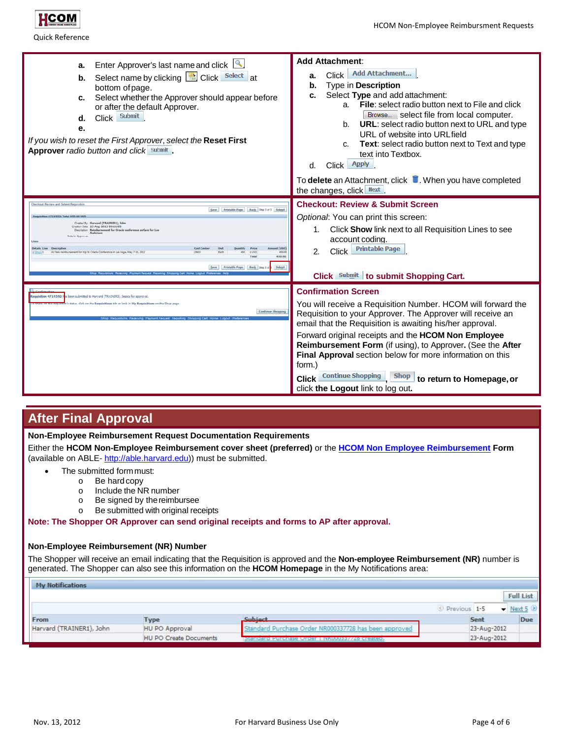

| Enter Approver's last name and click 4<br>a.<br>Select name by clicking <b>B</b> Click Select at<br>b.<br>bottom of page.<br>Select whether the Approver should appear before<br>c.<br>or after the default Approver.<br>Submit<br>Click  <br>d.<br>е.<br>If you wish to reset the First Approver, select the Reset First<br><b>Approver</b> radio button and click Submit                    | <b>Add Attachment:</b><br><b>Add Attachment</b><br>Click<br>a.<br>Type in Description<br>b.<br>Select Type and add attachment:<br>c.<br><b>File:</b> select radio button next to File and click<br>a.<br>Browse select file from local computer.<br><b>URL:</b> select radio button next to URL and type<br>b <sub>1</sub><br>URL of website into URL field<br><b>Text:</b> select radio button next to Text and type<br>C.<br>text into Textbox.<br>Apply<br>Click  <br>d.<br>To delete an Attachment, click <b>1</b> . When you have completed     |  |
|-----------------------------------------------------------------------------------------------------------------------------------------------------------------------------------------------------------------------------------------------------------------------------------------------------------------------------------------------------------------------------------------------|------------------------------------------------------------------------------------------------------------------------------------------------------------------------------------------------------------------------------------------------------------------------------------------------------------------------------------------------------------------------------------------------------------------------------------------------------------------------------------------------------------------------------------------------------|--|
| Save Printable Page Back Step 1 of 1 Submit<br>4719592: Tatal 430.00<br>Crazini R. Harvard (TRAINFR1), John<br>ation Data 23-Aug-2012 09:11:05<br>cription Reimbursement for Orade conference airfare for Le<br>Details Line<br><b>Cryst Cast</b><br>a Fizikin<br>1 LISD<br>Air fare reimbursement for big to Orada Conference in Let Vena, Nay 7-10, 201<br>450<br>450.00<br>Total<br>450.00 | the changes, click Next<br><b>Checkout: Review &amp; Submit Screen</b><br>Optional: You can print this screen:<br>Click Show link next to all Requisition Lines to see<br>1.<br>account coding.<br><b>Printable Page</b><br>Click<br>2.<br>Click Submit to submit Shopping Cart.                                                                                                                                                                                                                                                                     |  |
| sition 4719592 has been submitted to Harvard (TRAINER3). Jessica for approva<br>Continue Shopping                                                                                                                                                                                                                                                                                             | <b>Confirmation Screen</b><br>You will receive a Requisition Number. HCOM will forward the<br>Requisition to your Approver. The Approver will receive an<br>email that the Requisition is awaiting his/her approval.<br>Forward original receipts and the HCOM Non Employee<br><b>Reimbursement Form</b> (if using), to Approver. (See the After<br>Final Approval section below for more information on this<br>form.)<br><b>Continue Shopping</b><br><b>Shop</b><br><b>Click</b><br>to return to Homepage, or<br>click the Logout link to log out. |  |

### **After Final Approval**

**Non-Employee Reimbursement Request Documentation Requirements**

Either the **HCOM Non-Employee Reimbursement cover sheet (preferred)** or the **HCOM Non [Employee Reimbursement](http://able.harvard.edu/forms/HCOM_non-employee_reimbursement_form.pdf) Form** (available on ABLE- [http://able.harvard.edu\)](http://able.harvard.edu/)) must be submitted.

- The submitted formmust:
	- o Be hardcopy
		- o Include the NR number
	- o Be signed by the reimbursee<br>
	o Be submitted with original red
	- Be submitted with original receipts

**Note: The Shopper OR Approver can send original receipts and forms to AP after approval.**

#### **Non-Employee Reimbursement (NR) Number**

The Shopper will receive an email indicating that the Requisition is approved and the **Non-employee Reimbursement (NR)** number is generated. The Shopper can also see this information on the **HCOM Homepage** in the My Notifications area:

| <b>My Notifications</b>  |                        |                                                       |                |             |                                     |
|--------------------------|------------------------|-------------------------------------------------------|----------------|-------------|-------------------------------------|
|                          |                        |                                                       |                |             | <b>Full List</b>                    |
|                          |                        |                                                       | S Previous 1-5 |             | $\blacktriangleright$ Next 5 $\geq$ |
| From                     | <b>Type</b>            | Subject                                               |                | Sent        | Due                                 |
| Harvard (TRAINER1), John | HU PO Approval         | Standard Purchase Order NR000337728 has been approved |                | 23-Aug-2012 |                                     |
|                          | HU PO Create Documents | Purchase Order : NW<br>0337728 created                |                | 23-Aug-2012 |                                     |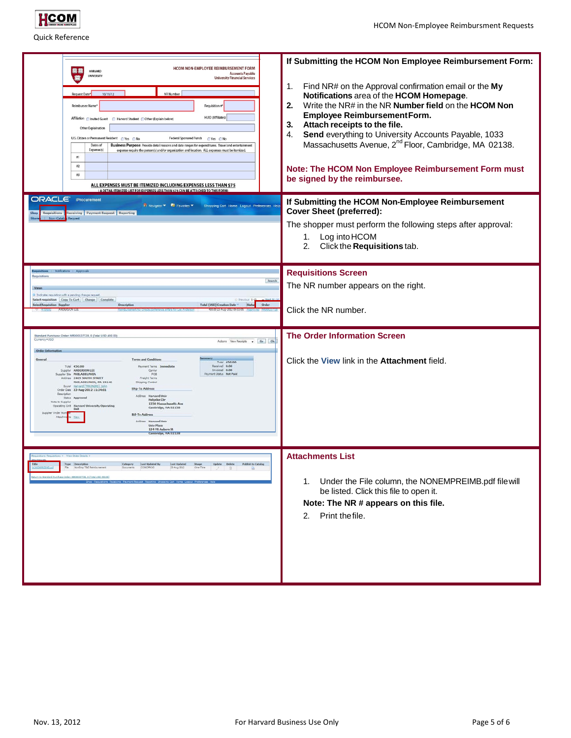

| HCOM NON-EMPLOYEE REIMBURSEMENT FORM<br>阿穗<br><b>HARVARD</b><br><b>Accounts Payable</b><br><b>UNIVERSITY</b><br>鷹<br><b>University Financial Services</b><br><b>NR Number</b><br>Request Date*<br>10/11/12<br>Requisition #<br><b>Reimbursee Name</b><br>HUID (Affiliates)<br>Affiliation C Invited Guest<br>Harvard Student (Other (Explain below)<br>Other Explaination<br>U.S. Citizen or Permanent Resident CYes C No<br><b>Federal Sponored Funds</b><br>○Yes ○No<br>Dates of<br>Business Purpose: Provide detail reasons and date ranges for expenditures. Travel and entertainment<br>Expense(s)<br>expense require the person(s) and/or organization and location. ALL expenses must be itemized.<br>$\sharp 1$<br>$\sharp 2$<br>$\pm 3$<br>ALL EXPENSES MUST BE ITEMIZED INCLUDING EXPENSES LESS THAN \$75<br>(A DETAIL ITEMIZED LIST FOR EXPENSES LESS THAN \$75 CAN BE ATTACHED TO THIS FORM)<br><b>ORACLE</b> iProcurement<br>n Navigator <b>R</b> Favorites<br>ping Cart Home Logout Preferences H<br>eceiving Payment Request Reporting | If Submitting the HCOM Non Employee Reimbursement Form:<br>Find NR# on the Approval confirmation email or the My<br>1.<br>Notifications area of the HCOM Homepage.<br>Write the NR# in the NR Number field on the HCOM Non<br>2.<br>Employee Reimbursement Form.<br>Attach receipts to the file.<br>3.<br>Send everything to University Accounts Payable, 1033<br>4.<br>Massachusetts Avenue, 2 <sup>nd</sup> Floor, Cambridge, MA 02138.<br>Note: The HCOM Non Employee Reimbursement Form must<br>be signed by the reimbursee.<br>If Submitting the HCOM Non-Employee Reimbursement<br><b>Cover Sheet (preferred):</b><br>The shopper must perform the following steps after approval:<br>Log into HCOM<br>1.<br>2.<br>Click the Requisitions tab. |
|-------------------------------------------------------------------------------------------------------------------------------------------------------------------------------------------------------------------------------------------------------------------------------------------------------------------------------------------------------------------------------------------------------------------------------------------------------------------------------------------------------------------------------------------------------------------------------------------------------------------------------------------------------------------------------------------------------------------------------------------------------------------------------------------------------------------------------------------------------------------------------------------------------------------------------------------------------------------------------------------------------------------------------------------------------|------------------------------------------------------------------------------------------------------------------------------------------------------------------------------------------------------------------------------------------------------------------------------------------------------------------------------------------------------------------------------------------------------------------------------------------------------------------------------------------------------------------------------------------------------------------------------------------------------------------------------------------------------------------------------------------------------------------------------------------------------|
| lequisitions<br>Search<br>I Indicates requisition with a pending change request<br>Select requisition: Copy To Cart   Change   Complete<br><b>Select Requisition Supplie</b><br>D-<br>Total (USD) Creation Date<br><b>Kitab</b><br>Order<br>Standard Purchase Order: NR000337728, 0 (Total USD 450 0<br>Currency#USD<br>Actions View-Receipts . Go Ok<br>Order Infort<br><b>Terms and Condition</b><br>Total 450.00<br>Total 450.00<br><b>Payment Terms Immediate</b><br>Received 0.00<br>Invoiced 0.00<br>Suppler ANDERSON LEE<br>Carrier<br>uppler Ste PHILADELPHIA<br>Wyment Status Not Paid<br>FOR<br>Address 2409 SOUTH STREET<br>Freight Terms<br>PHILADELPHIA, PA 19146<br><b>Shipping Control</b>                                                                                                                                                                                                                                                                                                                                             | <b>Requisitions Screen</b><br>The NR number appears on the right.<br>Click the NR number.<br><b>The Order Information Screen</b><br>Click the View link in the Attachment field.                                                                                                                                                                                                                                                                                                                                                                                                                                                                                                                                                                     |
| Buyer Hanned (TRAINER).<br>Ship To Address<br>Order Date 23-Aug-2012 11:34:01<br>Description<br>Address Harvard Univ<br>Status Approved<br>Holyoke Ctr<br>ote to Supplie<br>1350 Massachusetts Ave<br>Operating Unit Harvard University Operating<br>Cambridge, HA 02138<br>Bill-To Address<br>Attach<br>Address Marward Univ<br><b>Univ Place</b><br>124 Ht Auburn St.<br>ambridge, 14A 0213                                                                                                                                                                                                                                                                                                                                                                                                                                                                                                                                                                                                                                                         |                                                                                                                                                                                                                                                                                                                                                                                                                                                                                                                                                                                                                                                                                                                                                      |
| um to Standard Purchase Order: NR000337728, 0 (Total USD 450.0)                                                                                                                                                                                                                                                                                                                                                                                                                                                                                                                                                                                                                                                                                                                                                                                                                                                                                                                                                                                       | <b>Attachments List</b><br>Under the File column, the NONEMPREIMB.pdf file will<br>1.<br>be listed. Click this file to open it.<br>Note: The NR # appears on this file.<br>Print the file.<br>2.                                                                                                                                                                                                                                                                                                                                                                                                                                                                                                                                                     |